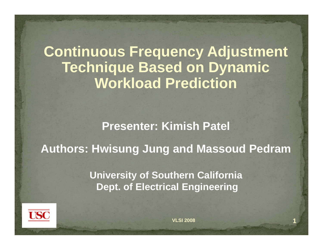**Continuous Frequency Adjustment Technique Based on Dynamic Workload Prediction**

**Presenter: Kimish Patel**

**Authors: Hwisung Jung and Massoud Pedram**

**U i it f S th C lif i niversity o Southern alifornia Dept. of Electrical Engineering**

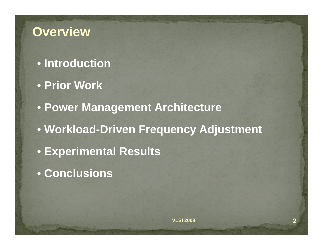### **Overview**

- **Introduction**
- **Prior Work**
- **Power Management Architecture**
- **Workload-Driven Frequency Adjustment**
- **Experimental Results**
- **Conclusions**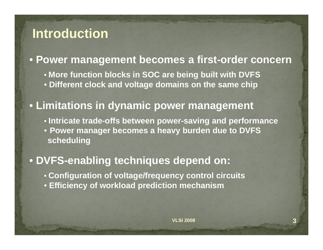### **Introduction**

### • **Power management becomes a first-order concern**

• **More function blocks in SOC are being built with DVFS** • **Different clock and voltage domains on the same chip**

### • **Limitations in dynamic power management dynamic**

• **Intricate trade-offs between power-saving and performance** • **Power manager becomes a heavy burden due to DVFS scheduling**

### • **DVFS-enabling techniques depend on:**

- **Configuration of voltage/frequency control circuits**
- **Efficiency of workload prediction mechanism**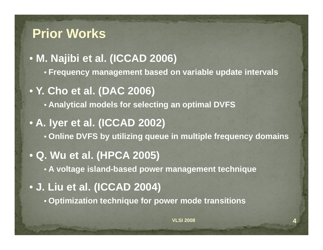### **Prior Works**

• **M. Najibi et al. (ICCAD 2006)**

- **Frequency management based on variable update intervals**
- **Y. Cho et al. (DAC 2006)**

• **Analy g tical models for selecting an optimal DVFS**

• **A. Iyer et al. (ICCAD 2002)** • **Online DVFS by gq p q y utilizing queue in multiple frequency domains**

### • **Q. Wu et al. (HPCA 2005)**

- **A voltage island-based pg q ower management technique**
- **J. Liu et al. (ICCAD 2004)**
	- **Optimization technique for power mode transitions**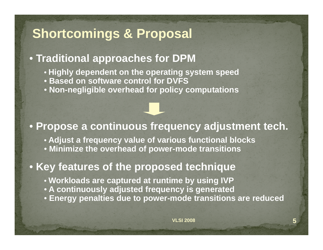# **Shortcomings & Proposal**

#### • **Traditional approaches for DPM**

- **Highly dependent on the operating system speed**
- **Based on software control for DVFS**
- **Non-negligible overhead for policy computations**

#### • **Propose a continuous frequency adjustment tech.**

- **Adjust <sup>a</sup> frequency value of various functional blocks**
- **Minimize the overhead of power-mode transitions**

#### **• Key features of the proposed technique**

- **Workloads are captured at runtime by using IVP**
- **A continuously adjusted frequency is generated**
- **Energy penalties due to power-mode transitions are reduced**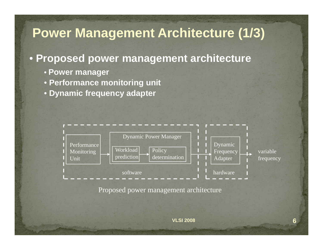# **Power Management Architecture (1/3)**

#### • **Proposed power management architecture**

- **Power manager**
- **Performance monitoring unit**
- **Dynamic frequency adapter**

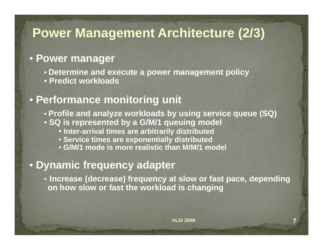### **Power Management Architecture (2/3)**

#### • **Power manager**

- **Determine and execute a power management policy**
- **Predict workloads**

#### • **Performance monitoring unit**

- **Profile and analyze workloads by using service queue (SQ)**
- **SQ is represented by a G/M/1 queuing model**
	- **Inter-arrival times are arbitrarily distributed**
	- **Service times are exponentially distributed exponentially**
	- **G/M/1 mode is more realistic than M/M/1 model**

#### • **Dynamic frequency adapter**

• **Increase (decrease) frequency at slow or fast pace, depending on how slow or fast the workload is changing**

**7**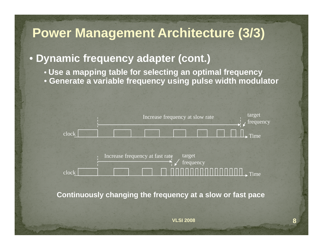# **Power Management Architecture (3/3)**

#### • **Dynamic frequency adapter (cont.)**

- **Use a mapping table for selecting an optimal frequency**
- **Generate a variable frequency using pulse width modulator**



**8**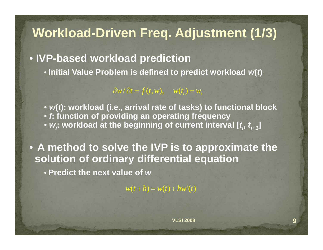## **Workload-Driven Freq. Adjustment (1/3)**

• **IVP-based workload prediction**

• **Initial Value Problem is defined to predict workload**  *<sup>w</sup>***(** *t***)**

 $\partial w / \partial t = f(t, w), \quad w(t_i) = w_i$ 

• w(*t*): workload (i.e., arrival rate of tasks) to functional block • *f***: function of providing an operating frequency** •  $w_i$ : workload at the beginning of current interval [ $t_i$ ,  $t_{i+1}$ ]

• **A method to solve the IVP is to approximate the solution of ordinary differential equation**

• **Predict the next value of** *w* **the**

 $w(t + h) = w(t) + hw'(t)$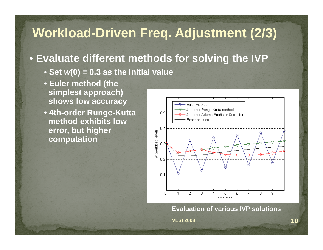# **Workload-Driven Freq. Adjustment (2/3)**

#### • **Evaluate different methods for solving the IVP**

- **Set**  *<sup>w</sup>***(0) = 0.3 as the initial value**
- **Euler method (the simplest approach) shows low accuracy**
- **4th-order Runge-Kutta method exhibits low error, but higher computation**



**Evaluation of various IVP solutions**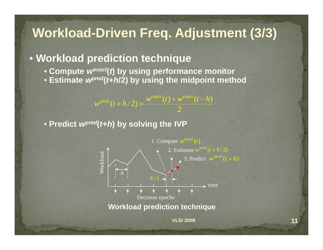# **Workload-Driven Freq. Adjustment (3/3)**

#### • **Workload prediction technique**

• **Compute**  *wexac<sup>t</sup>***(** *t***) by using performance monitor**

 $+ h/2 =$ 

• Estimate *w<sup>pred</sup>(t*+*h*/2) by using the midpoint method

 $w^{pred}(t+h/2) = \frac{w^{exact}(t)+w^{exact}(t-h)}{2}$ 

• **Predict**  *wpre<sup>d</sup>***(** *t***+** *h***) by solving the IVP** 



2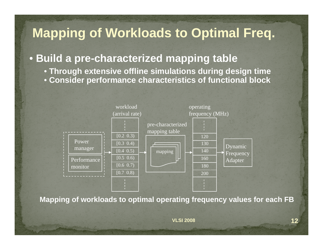# **Mapping of Workloads to Optimal Freq.**

### • **Build a pre-characterized mapping table**

• **Through extensive offline simulations during design time** • Consider performance characteristics of functional block



Mapping of workloads to optimal operating frequency values for each FB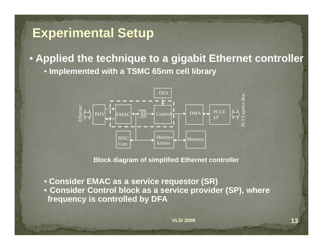### **Experimental Setup**

• **Applied the technique to a gigabit Ethernet controller** • **Implemented with a TSMC 65nm cell library**



**Block diagram of simplified Ethernet controller**

• **Consider EMAC as a service requestor (SR)** • **Consider Control block as a service provider (SP), where frequenc y is controlled b y DFA y y**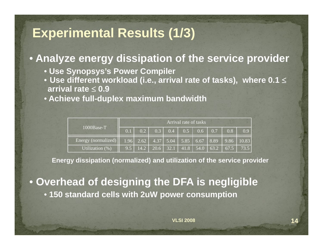### **Experimental Results (1/3)**

#### • **Analyze energy dissipation of the service provider**

- **Use Synopsys's Power Compiler**
- Use different workload (i.e., arrival rate of tasks), <code>where 0.1</code>  $\le$ **arrival rate**  ≤ **0.9**
- **Achieve full-duplex maximum bandwidth**

|                                                                                     | Arrival rate of tasks |  |  |  |  |  |  |  |                                                             |  |
|-------------------------------------------------------------------------------------|-----------------------|--|--|--|--|--|--|--|-------------------------------------------------------------|--|
| $1000Base-T$                                                                        | 0.1                   |  |  |  |  |  |  |  |                                                             |  |
| Energy (normalized)   1.96   2.62   4.37   5.04   5.85   6.67   8.89   9.86   10.83 |                       |  |  |  |  |  |  |  |                                                             |  |
| Utilization $(\%)$                                                                  |                       |  |  |  |  |  |  |  | 9.5   14.2   20.6   32.1   41.8   54.0   63.2   67.5   73.5 |  |

**Energy dissipation (normalized) and utilization of the service provider**

• **Overhead of designing the DFA is negligible** • **150 standard cells with 2uW power consumption**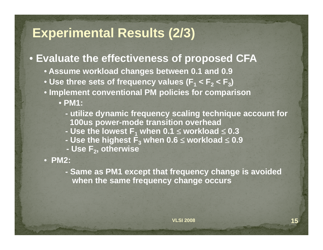### **Experimental Results (2/3)**

### • **Evaluate the effectiveness of proposed CFA**

- **Assume workload changes between 0.1 and 0.9**
- Use three sets of frequency values (F $_{1}$  < F $_{2}$  < F $_{3}$ )
- **Implement conventional PM policies for comparison**

• **PM1:** 

- **- utilize dynamic frequency scaling technique account for 100us power-mode transition overhead**
- **- Use the lowest F1 when 0.1**  ≤ **workload**  ≤ **0.3**
- **- Use the highest F 3 when 0 6.** <sup>≤</sup> **workload** ≤ **0 9.**
- **- Use F 2, otherwise**

• **PM2:** 

**- Same as PM1 except that frequency change is avoided except when the same frequency change occurs**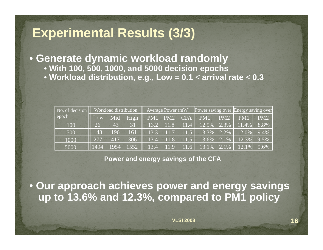### **Experimental Results (3/3)**

• **Generate dynamic workload randomly**

- **With 100, 500, 1000, and 5000 decision epochs**
- Workload distribution, e.g., Low = 0.1  $\leq$  arrival rate  $\leq$  0.3

| No. of decision | Workload distribution |                 |      |      |          |      | Average Power (mW)   Power saving over   Energy saving over |         |          |         |
|-----------------|-----------------------|-----------------|------|------|----------|------|-------------------------------------------------------------|---------|----------|---------|
| epoch           | Low                   | Mid             | High | PM1  | PM2      | CFA  | PM1                                                         | PM2     | PM1      | PM2     |
| 100             | 26                    | 43 <sub>1</sub> | 31   | 13.2 | 11.8     | 11.4 | 12.9%                                                       | 2.3%    | 11.4%    | 8.8%    |
| 500             | 143                   | 196             | 161  | 13.3 | 11.7     | 11.5 | 13.3%                                                       | 2.2%    | $12.0\%$ | 9.4%    |
| 1000            | 277                   | 417             | 306  | 13.4 | 11.8     | 11.5 | $13.6\%$                                                    | $2.1\%$ | 12.3%    | 9.5%    |
| 5000            | $\Pi$ 1494            | 1954            | 1552 | 13.4 | $11.9$ . | 11.6 | 13.1%                                                       | 2.1%    | 12.1%    | $9.6\%$ |

**Power and energy savings of the CFA**

• **Our approach achieves power and energy savings up to 13.6% and 12.3%, compared to PM1 policy**